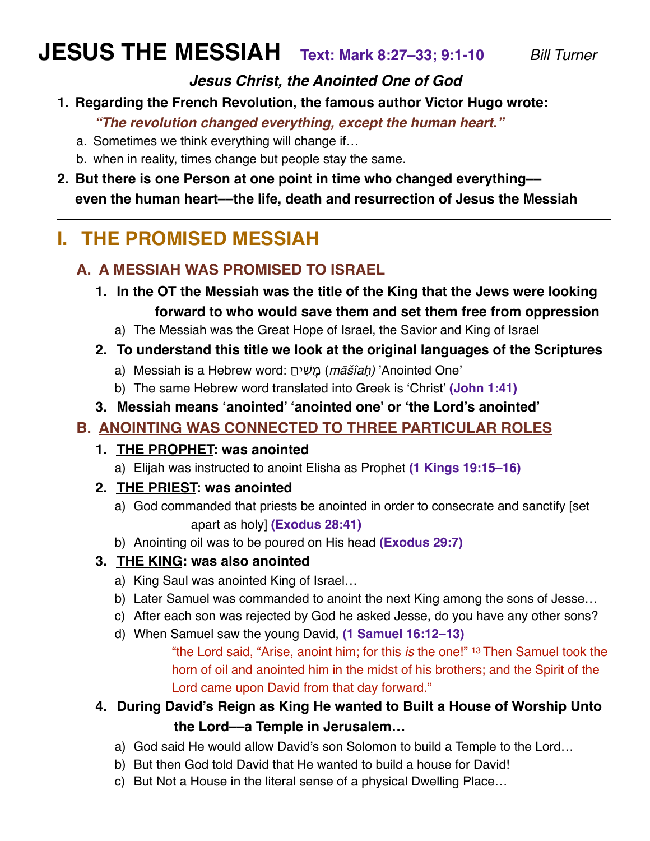# **JESUS THE MESSIAH Text: Mark 8:27–33; 9:1-10** *Bill Turner*

#### *Jesus Christ, the Anointed One of God*

**1. Regarding the French Revolution, the famous author Victor Hugo wrote:** 

*"The revolution changed everything, except the human heart."*

- a. Sometimes we think everything will change if…
- b. when in reality, times change but people stay the same.
- **2. But there is one Person at one point in time who changed everything–– even the human heart––the life, death and resurrection of Jesus the Messiah**

## **I. THE PROMISED MESSIAH**

### **A. A MESSIAH WAS PROMISED TO ISRAEL**

- **1. In the OT the Messiah was the title of the King that the Jews were looking forward to who would save them and set them free from oppression**
	- a) The Messiah was the Great Hope of Israel, the Savior and King of Israel
- **2. To understand this title we look at the original languages of the Scriptures**
	- a) Messiah is a Hebrew word: ַיחִשָמ) *m*āš*îa*ḥ*)* 'Anointed One'
	- b) The same Hebrew word translated into Greek is 'Christ' **(John 1:41)**
- **3. Messiah means 'anointed' 'anointed one' or 'the Lord's anointed'**

## **B. ANOINTING WAS CONNECTED TO THREE PARTICULAR ROLES**

#### **1. THE PROPHET: was anointed**

- a) Elijah was instructed to anoint Elisha as Prophet **(1 Kings 19:15–16)**
- **2. THE PRIEST: was anointed** 
	- a) God commanded that priests be anointed in order to consecrate and sanctify [set apart as holy] **(Exodus 28:41)**
	- b) Anointing oil was to be poured on His head **(Exodus 29:7)**

#### **3. THE KING: was also anointed**

- a) King Saul was anointed King of Israel…
- b) Later Samuel was commanded to anoint the next King among the sons of Jesse…
- c) After each son was rejected by God he asked Jesse, do you have any other sons?
- d) When Samuel saw the young David, **(1 Samuel 16:12–13)**

"the Lord said, "Arise, anoint him; for this *is* the one!" 13 Then Samuel took the horn of oil and anointed him in the midst of his brothers; and the Spirit of the Lord came upon David from that day forward."

### **4. During David's Reign as King He wanted to Built a House of Worship Unto the Lord––a Temple in Jerusalem…**

- a) God said He would allow David's son Solomon to build a Temple to the Lord…
- b) But then God told David that He wanted to build a house for David!
- c) But Not a House in the literal sense of a physical Dwelling Place…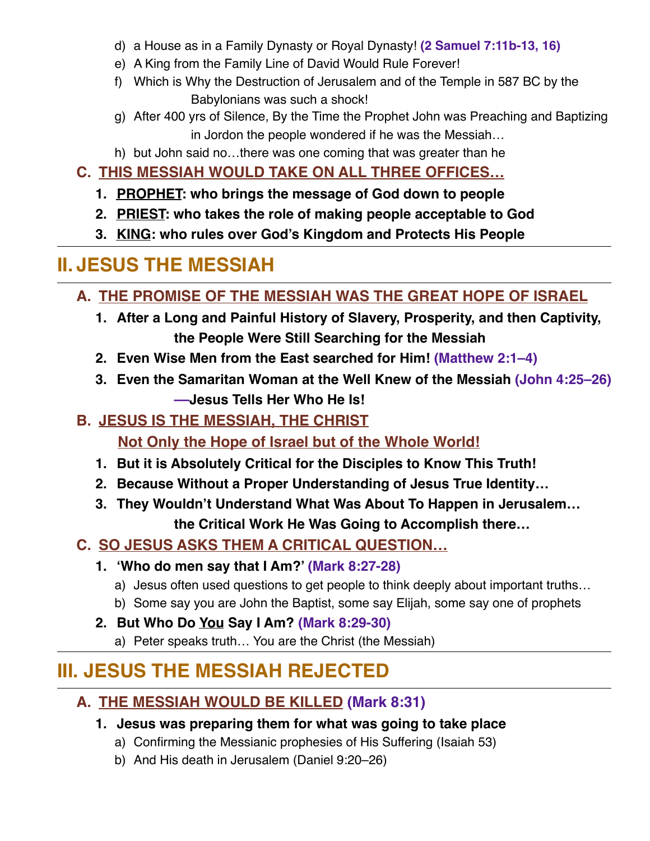- d) a House as in a Family Dynasty or Royal Dynasty! **(2 Samuel 7:11b-13, 16)**
- e) A King from the Family Line of David Would Rule Forever!
- f) Which is Why the Destruction of Jerusalem and of the Temple in 587 BC by the Babylonians was such a shock!
- g) After 400 yrs of Silence, By the Time the Prophet John was Preaching and Baptizing in Jordon the people wondered if he was the Messiah…
- h) but John said no…there was one coming that was greater than he
- **C. THIS MESSIAH WOULD TAKE ON ALL THREE OFFICES…**
	- **1. PROPHET: who brings the message of God down to people**
	- **2. PRIEST: who takes the role of making people acceptable to God**
	- **3. KING: who rules over God's Kingdom and Protects His People**

## **II. JESUS THE MESSIAH**

- **A. THE PROMISE OF THE MESSIAH WAS THE GREAT HOPE OF ISRAEL**
	- **1. After a Long and Painful History of Slavery, Prosperity, and then Captivity, the People Were Still Searching for the Messiah**
	- **2. Even Wise Men from the East searched for Him! (Matthew 2:1–4)**
	- **3. Even the Samaritan Woman at the Well Knew of the Messiah (John 4:25–26) ––Jesus Tells Her Who He Is!**
- **B. JESUS IS THE MESSIAH, THE CHRIST**

**Not Only the Hope of Israel but of the Whole World!**

- **1. But it is Absolutely Critical for the Disciples to Know This Truth!**
- **2. Because Without a Proper Understanding of Jesus True Identity…**
- **3. They Wouldn't Understand What Was About To Happen in Jerusalem… the Critical Work He Was Going to Accomplish there…**
- **C. SO JESUS ASKS THEM A CRITICAL QUESTION…**
	- **1. 'Who do men say that I Am?' (Mark 8:27-28)**
		- a) Jesus often used questions to get people to think deeply about important truths…
		- b) Some say you are John the Baptist, some say Elijah, some say one of prophets
	- **2. But Who Do You Say I Am? (Mark 8:29-30)**
		- a) Peter speaks truth… You are the Christ (the Messiah)

## **III. JESUS THE MESSIAH REJECTED**

## **A. THE MESSIAH WOULD BE KILLED (Mark 8:31)**

- **1. Jesus was preparing them for what was going to take place**
	- a) Confirming the Messianic prophesies of His Suffering (Isaiah 53)
	- b) And His death in Jerusalem (Daniel 9:20–26)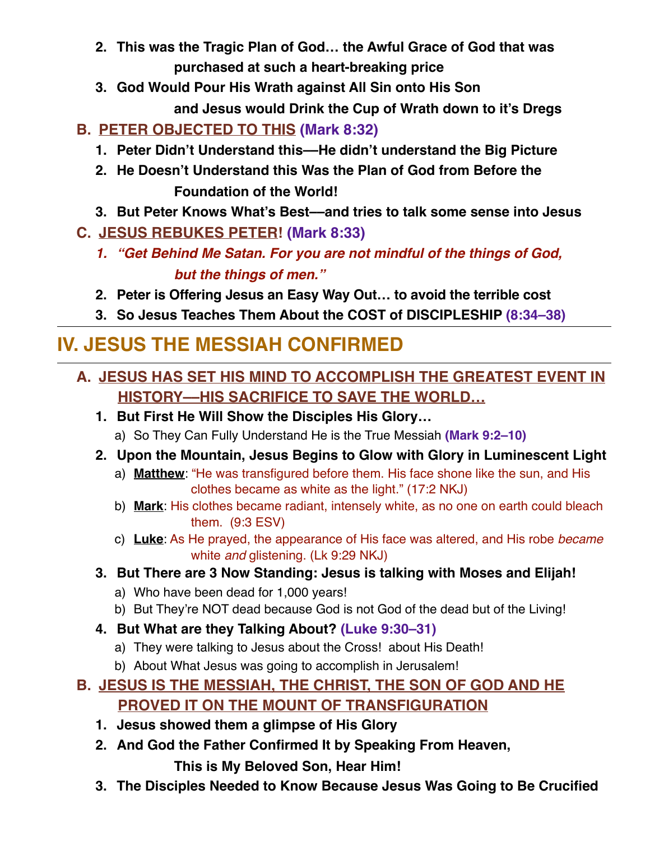- **2. This was the Tragic Plan of God… the Awful Grace of God that was purchased at such a heart-breaking price**
- **3. God Would Pour His Wrath against All Sin onto His Son**

**and Jesus would Drink the Cup of Wrath down to it's Dregs**

## **B. PETER OBJECTED TO THIS (Mark 8:32)**

- **1. Peter Didn't Understand this––He didn't understand the Big Picture**
- **2. He Doesn't Understand this Was the Plan of God from Before the Foundation of the World!**
- **3. But Peter Knows What's Best––and tries to talk some sense into Jesus**
- **C. JESUS REBUKES PETER! (Mark 8:33)**
	- *1. "Get Behind Me Satan. For you are not mindful of the things of God, but the things of men."*
	- **2. Peter is Offering Jesus an Easy Way Out… to avoid the terrible cost**
	- **3. So Jesus Teaches Them About the COST of DISCIPLESHIP (8:34–38)**

## **IV. JESUS THE MESSIAH CONFIRMED**

## **A. JESUS HAS SET HIS MIND TO ACCOMPLISH THE GREATEST EVENT IN HISTORY––HIS SACRIFICE TO SAVE THE WORLD…**

- **1. But First He Will Show the Disciples His Glory…** 
	- a) So They Can Fully Understand He is the True Messiah **(Mark 9:2–10)**
- **2. Upon the Mountain, Jesus Begins to Glow with Glory in Luminescent Light** 
	- a) **Matthew**: "He was transfigured before them. His face shone like the sun, and His clothes became as white as the light." (17:2 NKJ)
	- b) **Mark**: His clothes became radiant, intensely white, as no one on earth could bleach them. (9:3 ESV)
	- c) **Luke**: As He prayed, the appearance of His face was altered, and His robe *became* white *and* glistening. (Lk 9:29 NKJ)

### **3. But There are 3 Now Standing: Jesus is talking with Moses and Elijah!**

- a) Who have been dead for 1,000 years!
- b) But They're NOT dead because God is not God of the dead but of the Living!
- **4. But What are they Talking About? (Luke 9:30–31)**
	- a) They were talking to Jesus about the Cross! about His Death!
	- b) About What Jesus was going to accomplish in Jerusalem!
- **B. JESUS IS THE MESSIAH, THE CHRIST, THE SON OF GOD AND HE PROVED IT ON THE MOUNT OF TRANSFIGURATION**
	- **1. Jesus showed them a glimpse of His Glory**
	- **2. And God the Father Confirmed It by Speaking From Heaven,**

**This is My Beloved Son, Hear Him!**

**3. The Disciples Needed to Know Because Jesus Was Going to Be Crucified**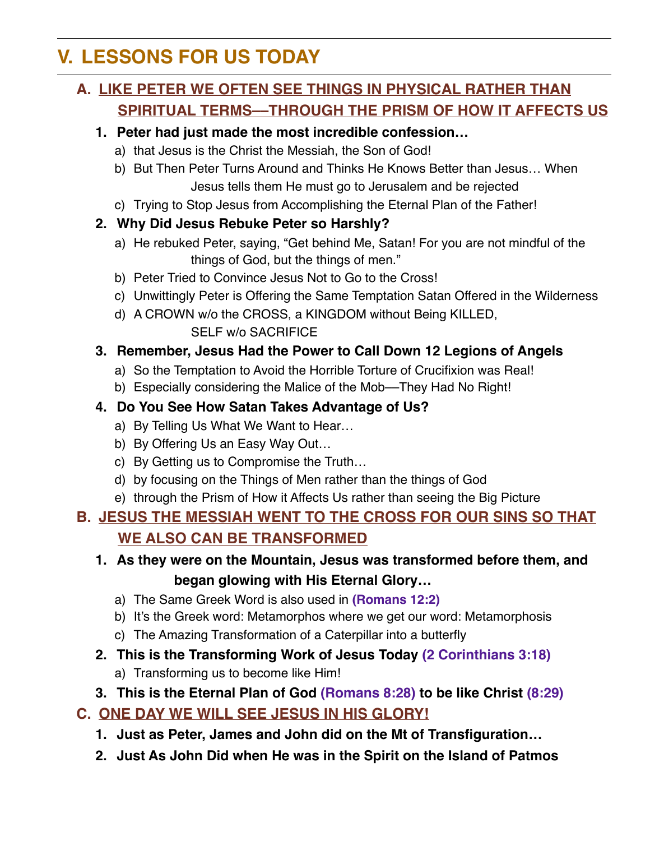## **V. LESSONS FOR US TODAY**

### **A. LIKE PETER WE OFTEN SEE THINGS IN PHYSICAL RATHER THAN SPIRITUAL TERMS––THROUGH THE PRISM OF HOW IT AFFECTS US**

#### **1. Peter had just made the most incredible confession…**

- a) that Jesus is the Christ the Messiah, the Son of God!
- b) But Then Peter Turns Around and Thinks He Knows Better than Jesus… When Jesus tells them He must go to Jerusalem and be rejected
- c) Trying to Stop Jesus from Accomplishing the Eternal Plan of the Father!

#### **2. Why Did Jesus Rebuke Peter so Harshly?**

- a) He rebuked Peter, saying, "Get behind Me, Satan! For you are not mindful of the things of God, but the things of men."
- b) Peter Tried to Convince Jesus Not to Go to the Cross!
- c) Unwittingly Peter is Offering the Same Temptation Satan Offered in the Wilderness
- d) A CROWN w/o the CROSS, a KINGDOM without Being KILLED, SELF w/o SACRIFICE

#### **3. Remember, Jesus Had the Power to Call Down 12 Legions of Angels**

- a) So the Temptation to Avoid the Horrible Torture of Crucifixion was Real!
- b) Especially considering the Malice of the Mob-They Had No Right!

#### **4. Do You See How Satan Takes Advantage of Us?**

- a) By Telling Us What We Want to Hear…
- b) By Offering Us an Easy Way Out…
- c) By Getting us to Compromise the Truth…
- d) by focusing on the Things of Men rather than the things of God
- e) through the Prism of How it Affects Us rather than seeing the Big Picture

### **B. JESUS THE MESSIAH WENT TO THE CROSS FOR OUR SINS SO THAT WE ALSO CAN BE TRANSFORMED**

- **1. As they were on the Mountain, Jesus was transformed before them, and began glowing with His Eternal Glory…**
	- a) The Same Greek Word is also used in **(Romans 12:2)**
	- b) It's the Greek word: Metamorphos where we get our word: Metamorphosis
	- c) The Amazing Transformation of a Caterpillar into a butterfly
- **2. This is the Transforming Work of Jesus Today (2 Corinthians 3:18)**
	- a) Transforming us to become like Him!
- **3. This is the Eternal Plan of God (Romans 8:28) to be like Christ (8:29)**

#### **C. ONE DAY WE WILL SEE JESUS IN HIS GLORY!**

- **1. Just as Peter, James and John did on the Mt of Transfiguration…**
- **2. Just As John Did when He was in the Spirit on the Island of Patmos**